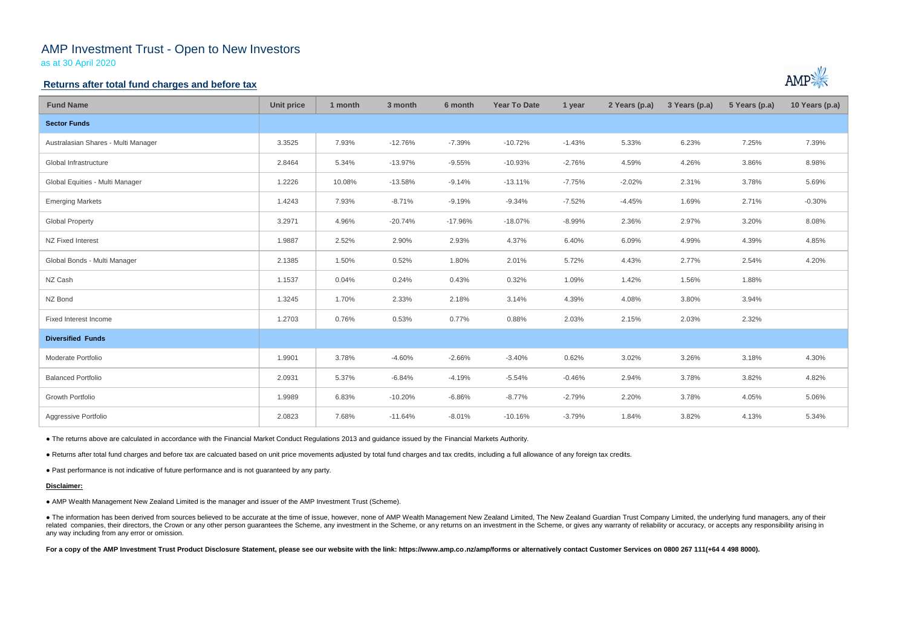# AMP Investment Trust - Open to New Investors

as at 30 April 2020

### **Returns after total fund charges and before tax**

| <b>Fund Name</b>                    | <b>Unit price</b> | 1 month | 3 month   | 6 month   | <b>Year To Date</b> | 1 year   | 2 Years (p.a) | 3 Years (p.a) | 5 Years (p.a) | 10 Years (p.a) |
|-------------------------------------|-------------------|---------|-----------|-----------|---------------------|----------|---------------|---------------|---------------|----------------|
| <b>Sector Funds</b>                 |                   |         |           |           |                     |          |               |               |               |                |
| Australasian Shares - Multi Manager | 3.3525            | 7.93%   | $-12.76%$ | $-7.39%$  | $-10.72%$           | $-1.43%$ | 5.33%         | 6.23%         | 7.25%         | 7.39%          |
| Global Infrastructure               | 2.8464            | 5.34%   | $-13.97%$ | $-9.55%$  | $-10.93%$           | $-2.76%$ | 4.59%         | 4.26%         | 3.86%         | 8.98%          |
| Global Equities - Multi Manager     | 1.2226            | 10.08%  | $-13.58%$ | $-9.14%$  | $-13.11%$           | $-7.75%$ | $-2.02%$      | 2.31%         | 3.78%         | 5.69%          |
| <b>Emerging Markets</b>             | 1.4243            | 7.93%   | $-8.71%$  | $-9.19%$  | $-9.34%$            | $-7.52%$ | $-4.45%$      | 1.69%         | 2.71%         | $-0.30%$       |
| <b>Global Property</b>              | 3.2971            | 4.96%   | $-20.74%$ | $-17.96%$ | $-18.07%$           | $-8.99%$ | 2.36%         | 2.97%         | 3.20%         | 8.08%          |
| NZ Fixed Interest                   | 1.9887            | 2.52%   | 2.90%     | 2.93%     | 4.37%               | 6.40%    | 6.09%         | 4.99%         | 4.39%         | 4.85%          |
| Global Bonds - Multi Manager        | 2.1385            | 1.50%   | 0.52%     | 1.80%     | 2.01%               | 5.72%    | 4.43%         | 2.77%         | 2.54%         | 4.20%          |
| NZ Cash                             | 1.1537            | 0.04%   | 0.24%     | 0.43%     | 0.32%               | 1.09%    | 1.42%         | 1.56%         | 1.88%         |                |
| NZ Bond                             | 1.3245            | 1.70%   | 2.33%     | 2.18%     | 3.14%               | 4.39%    | 4.08%         | 3.80%         | 3.94%         |                |
| Fixed Interest Income               | 1.2703            | 0.76%   | 0.53%     | 0.77%     | 0.88%               | 2.03%    | 2.15%         | 2.03%         | 2.32%         |                |
| <b>Diversified Funds</b>            |                   |         |           |           |                     |          |               |               |               |                |
| Moderate Portfolio                  | 1.9901            | 3.78%   | $-4.60%$  | $-2.66%$  | $-3.40%$            | 0.62%    | 3.02%         | 3.26%         | 3.18%         | 4.30%          |
| <b>Balanced Portfolio</b>           | 2.0931            | 5.37%   | $-6.84%$  | $-4.19%$  | $-5.54%$            | $-0.46%$ | 2.94%         | 3.78%         | 3.82%         | 4.82%          |
| Growth Portfolio                    | 1.9989            | 6.83%   | $-10.20%$ | $-6.86%$  | $-8.77%$            | $-2.79%$ | 2.20%         | 3.78%         | 4.05%         | 5.06%          |
| Aggressive Portfolio                | 2.0823            | 7.68%   | $-11.64%$ | $-8.01%$  | $-10.16%$           | $-3.79%$ | 1.84%         | 3.82%         | 4.13%         | 5.34%          |

• The information has been derived from sources believed to be accurate at the time of issue, however, none of AMP Wealth Management New Zealand Limited, The New Zealand Guardian Trust Company Limited, the underlying fund related companies, their directors, the Crown or any other person guarantees the Scheme, any investment in the Scheme, or any returns on an investment in the Scheme, or gives any warranty of reliability or accuracy, or acc any way including from any error or omission.

For a copy of the AMP Investment Trust Product Disclosure Statement, please see our website with the link: https://www.amp.co.nz/amp/forms or alternatively contact Customer Services on 0800 267 111(+64 4 498 8000).



● The returns above are calculated in accordance with the Financial Market Conduct Regulations 2013 and guidance issued by the Financial Markets Authority.

● Returns after total fund charges and before tax are calcuated based on unit price movements adjusted by total fund charges and tax credits, including a full allowance of any foreign tax credits.

● Past performance is not indicative of future performance and is not guaranteed by any party.

#### **Disclaimer:**

● AMP Wealth Management New Zealand Limited is the manager and issuer of the AMP Investment Trust (Scheme).